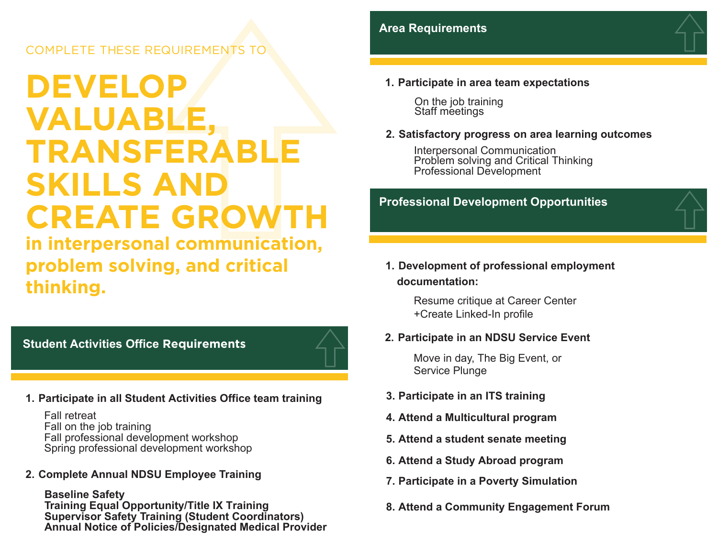#### COMPLETE THESE REQUIREMENTS T

## **DEVELOP VALUABLE TRANSFERABLE SKILLS AND CREATE GROWTH**

**in interpersonal communication, problem solving, and critical thinking.**

**Student Activities Office Requirements**



Fall retreat Fall on the job training Fall professional development workshop Spring professional development workshop

**2. Complete Annual NDSU Employee Training**

**Baseline Safety Training Equal Opportunity/Title IX Training Supervisor Safety Training (Student Coordinators) Annual Notice of Policies/Designated Medical Provider**



On the job training Staff meetings

#### **2. Satisfactory progress on area learning outcomes**

Interpersonal Communication Problem solving and Critical Thinking Professional Development

#### **Professional Development Opportunities**

#### **1. Development of professional employment documentation:**

Resume critique at Career Center +Create Linked-In profile

#### **2. Participate in an NDSU Service Event**

Move in day, The Big Event, or Service Plunge

- **3. Participate in an ITS training**
- **4. Attend a Multicultural program**
- **5. Attend a student senate meeting**
- **6. Attend a Study Abroad program**
- **7. Participate in a Poverty Simulation**
- **8. Attend a Community Engagement Forum**